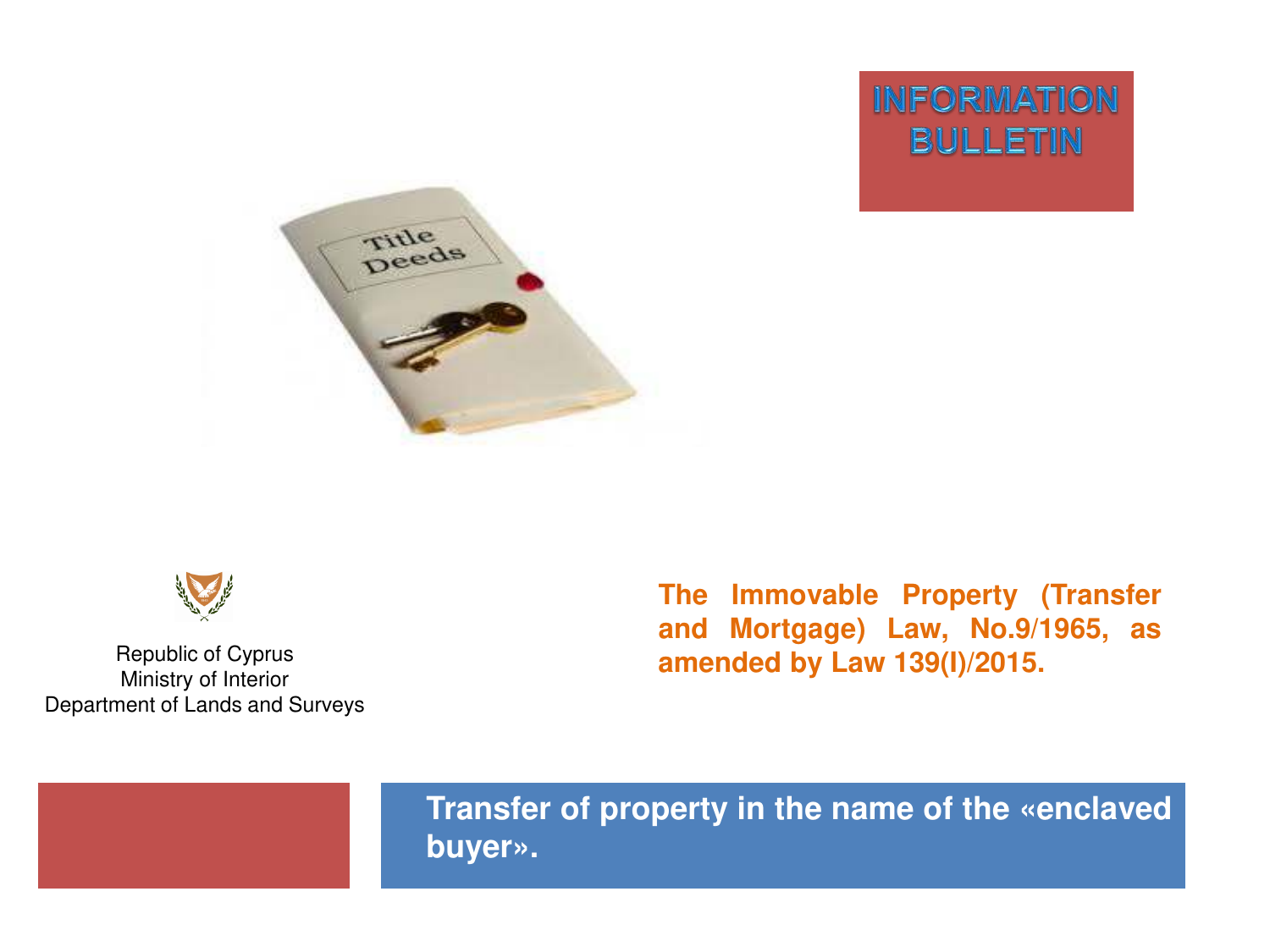**INFORMATION BULLETIN** 





Republic of Cyprus Ministry of Interior Department of Lands and Surveys **The Immovable Property (Transfer and Mortgage) Law, No.9/1965, as amended by Law 139(I)/2015.** 



**Transfer of property in the name of the «enclaved buyer».**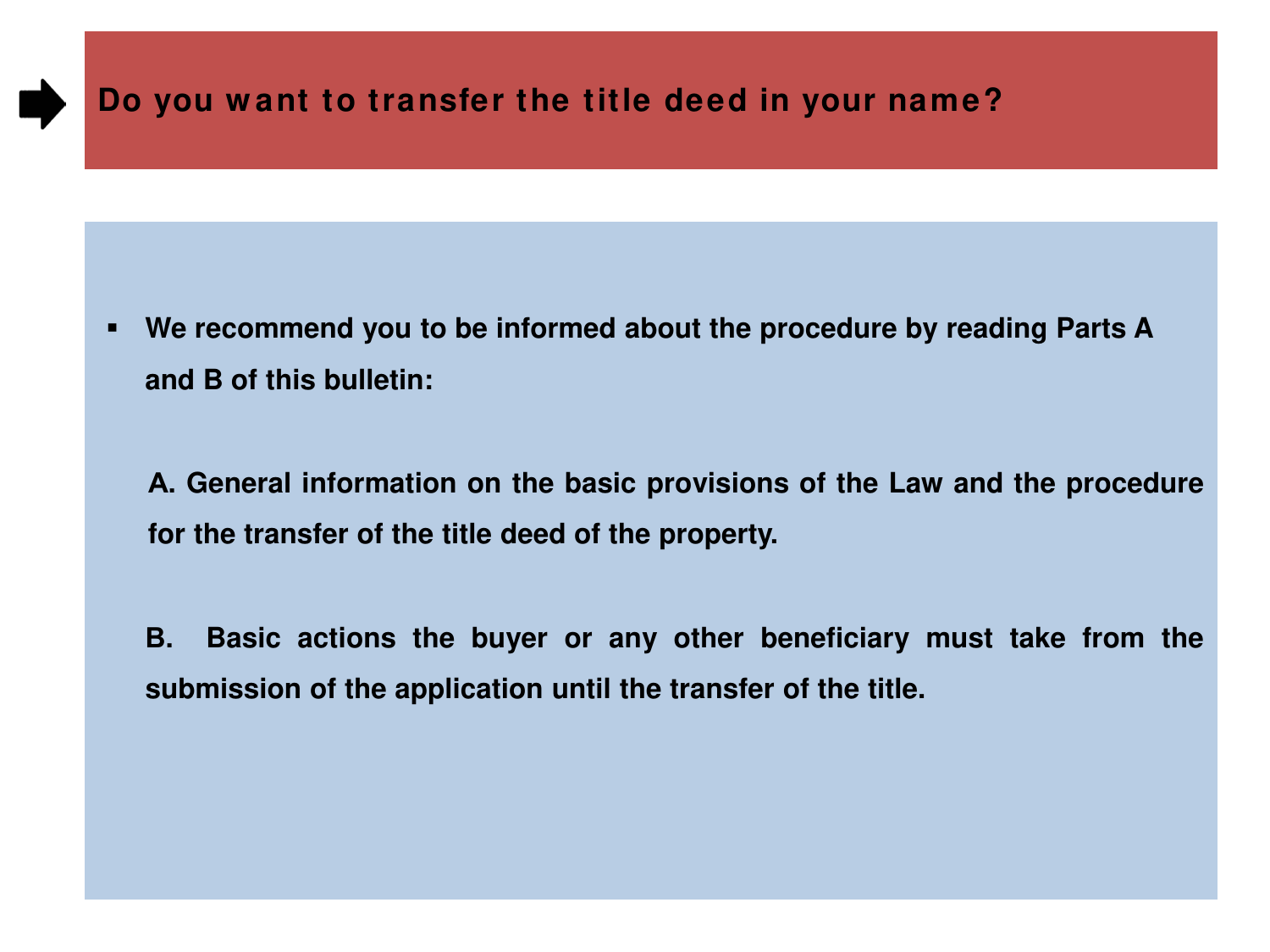# **Do you w ant to transfer the title deed in your name?**

 **We recommend you to be informed about the procedure by reading Parts A and B of this bulletin:**

**Α. General information on the basic provisions of the Law and the procedure for the transfer of the title deed of the property.** 

**Β. Basic actions the buyer or any other beneficiary must take from the submission of the application until the transfer of the title.**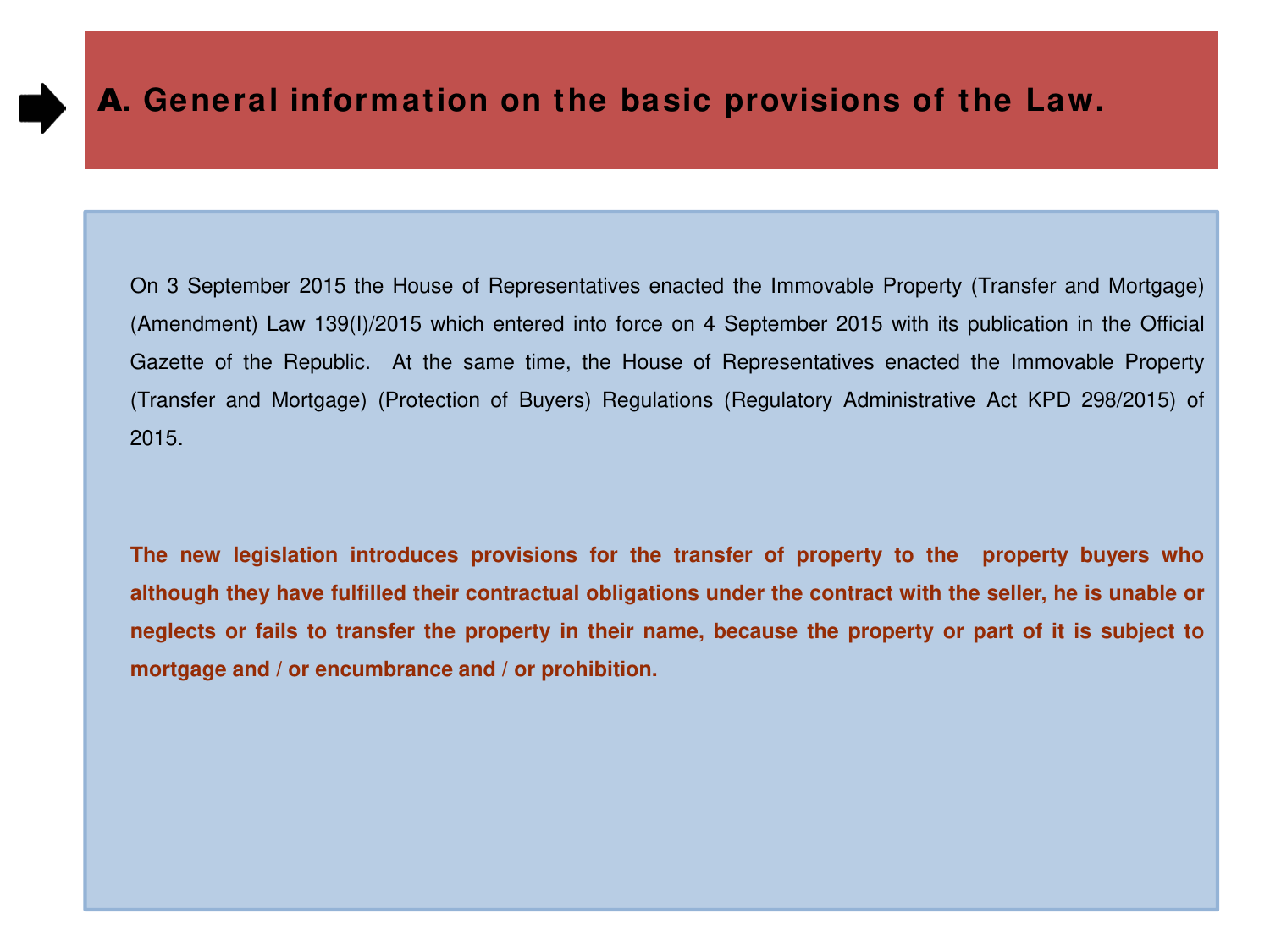On 3 September 2015 the House of Representatives enacted the Immovable Property (Transfer and Mortgage) (Amendment) Law 139(I)/2015 which entered into force on 4 September 2015 with its publication in the Official Gazette of the Republic. At the same time, the House of Representatives enacted the Immovable Property (Transfer and Mortgage) (Protection of Buyers) Regulations (Regulatory Administrative Act KPD 298/2015) of 2015.

**The new legislation introduces provisions for the transfer of property to the property buyers who** although they have fulfilled their contractual obligations under the contract with the seller, he is unable or neglects or fails to transfer the property in their name, because the property or part of it is subject to **mortgage and / or encumbrance and / or prohibition.**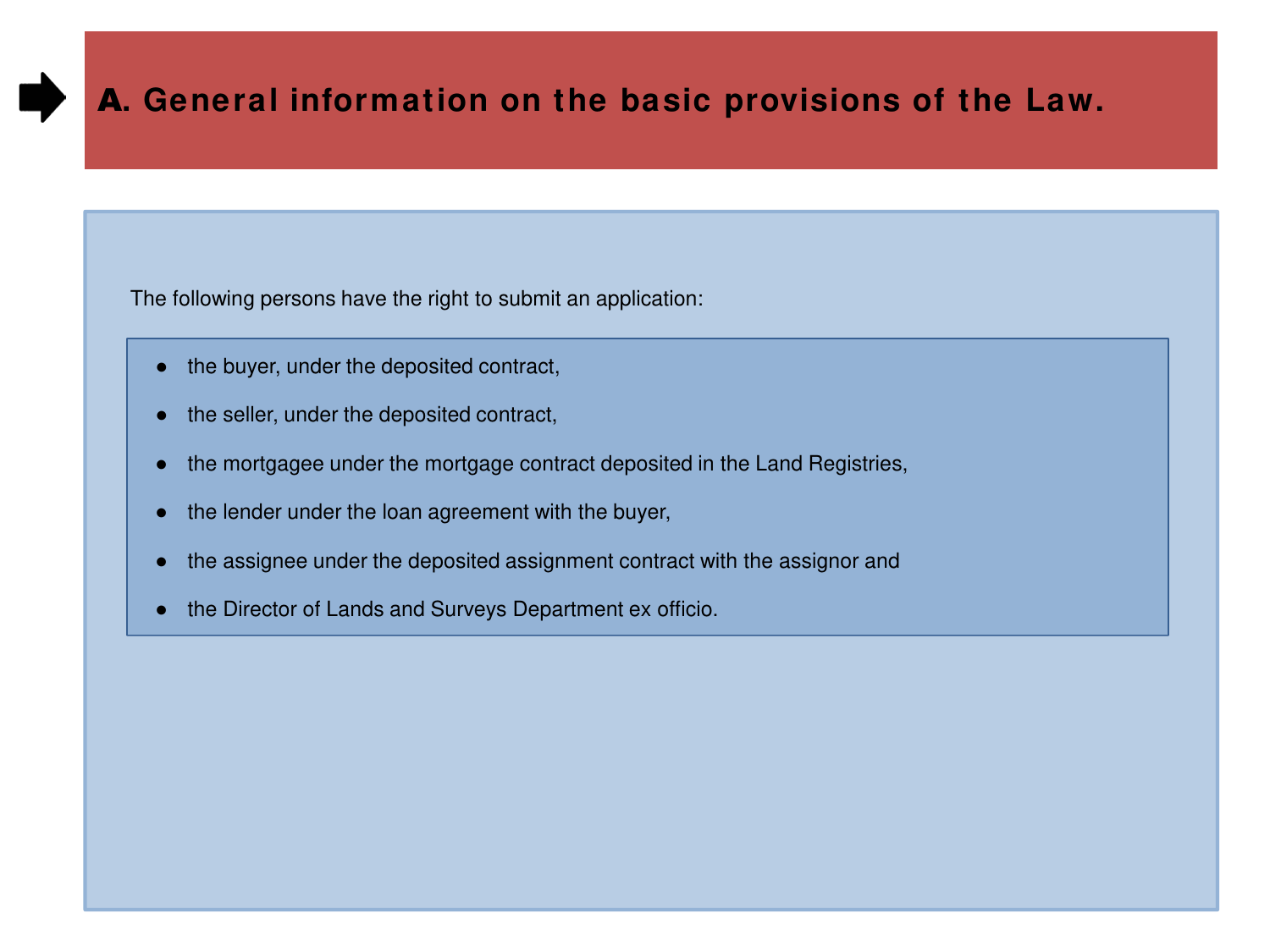The following persons have the right to submit an application:

- the buyer, under the deposited contract,
- the seller, under the deposited contract,
- the mortgagee under the mortgage contract deposited in the Land Registries,
- the lender under the loan agreement with the buyer,
- the assignee under the deposited assignment contract with the assignor and
- the Director of Lands and Surveys Department ex officio.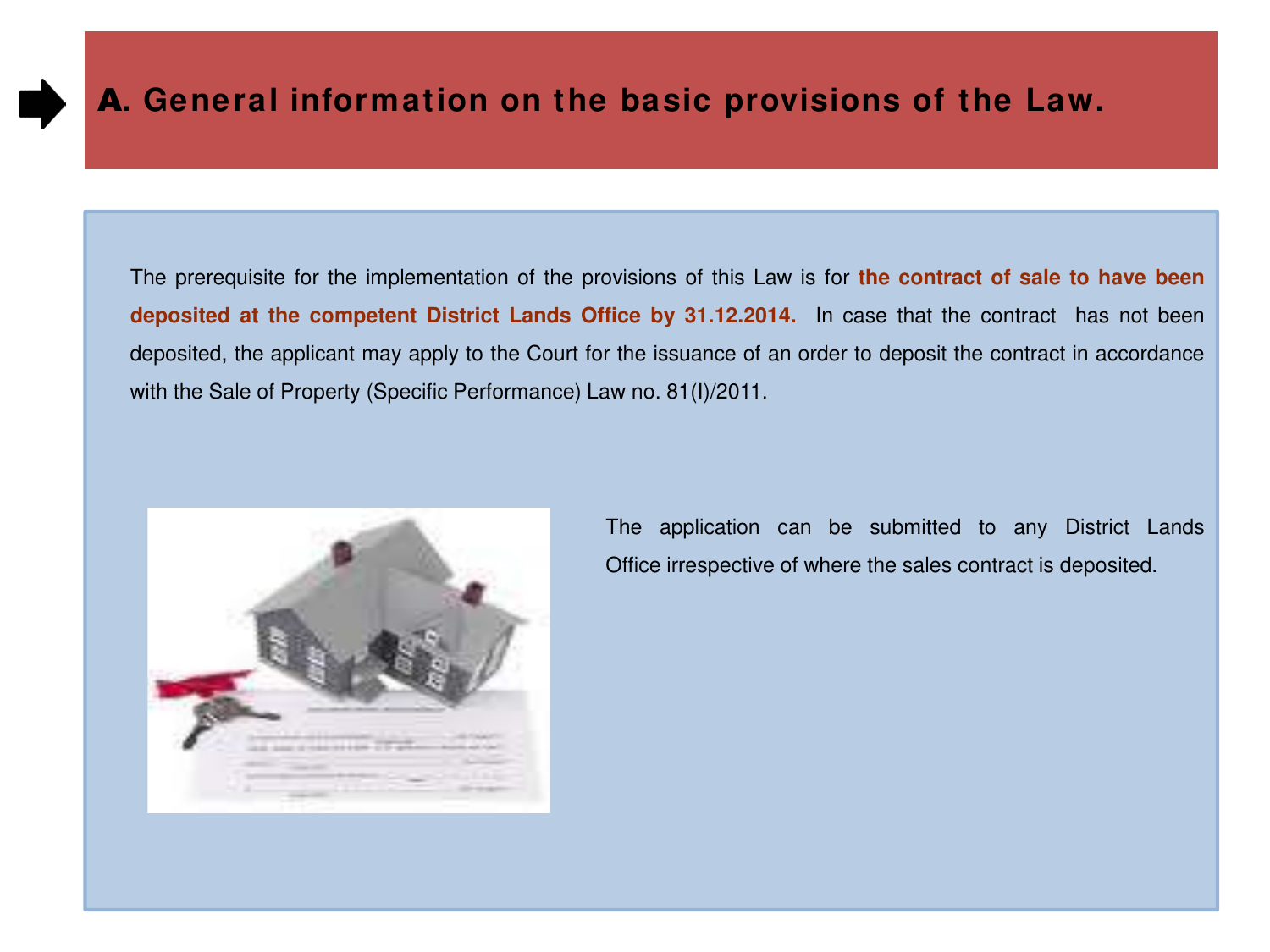

The prerequisite for the implementation of the provisions of this Law is for **the contract of sale to have been deposited at the competent District Lands Office by 31.12.2014.** In case that the contract has not been deposited, the applicant may apply to the Court for the issuance of an order to deposit the contract in accordance with the Sale of Property (Specific Performance) Law no. 81(I)/2011.



 The application can be submitted to any District Lands Office irrespective of where the sales contract is deposited.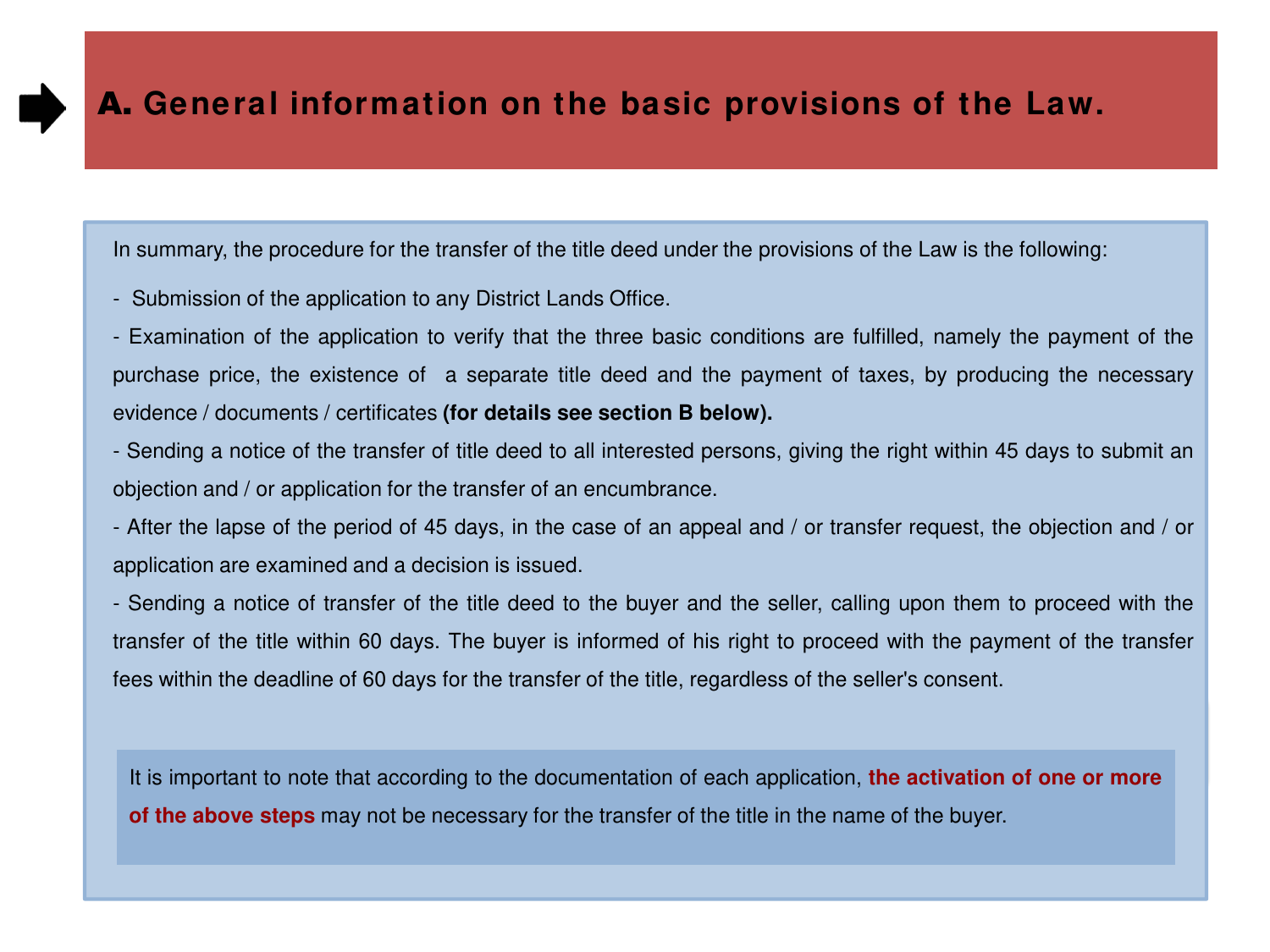In summary, the procedure for the transfer of the title deed under the provisions of the Law is the following:

- Submission of the application to any District Lands Office.
- Examination of the application to verify that the three basic conditions are fulfilled, namely the payment of the purchase price, the existence of a separate title deed and the payment of taxes, by producing the necessary evidence / documents / certificates **(for details see section B below).**
- Sending a notice of the transfer of title deed to all interested persons, giving the right within 45 days to submit an objection and / or application for the transfer of an encumbrance.
- After the lapse of the period of 45 days, in the case of an appeal and / or transfer request, the objection and / or application are examined and a decision is issued.

- Sending a notice of transfer of the title deed to the buyer and the seller, calling upon them to proceed with the transfer of the title within 60 days. The buyer is informed of his right to proceed with the payment of the transfer fees within the deadline of 60 days for the transfer of the title, regardless of the seller's consent.

It is important to note that according to the documentation of each application, **the activation of one or more of the above steps** may not be necessary for the transfer of the title in the name of the buyer.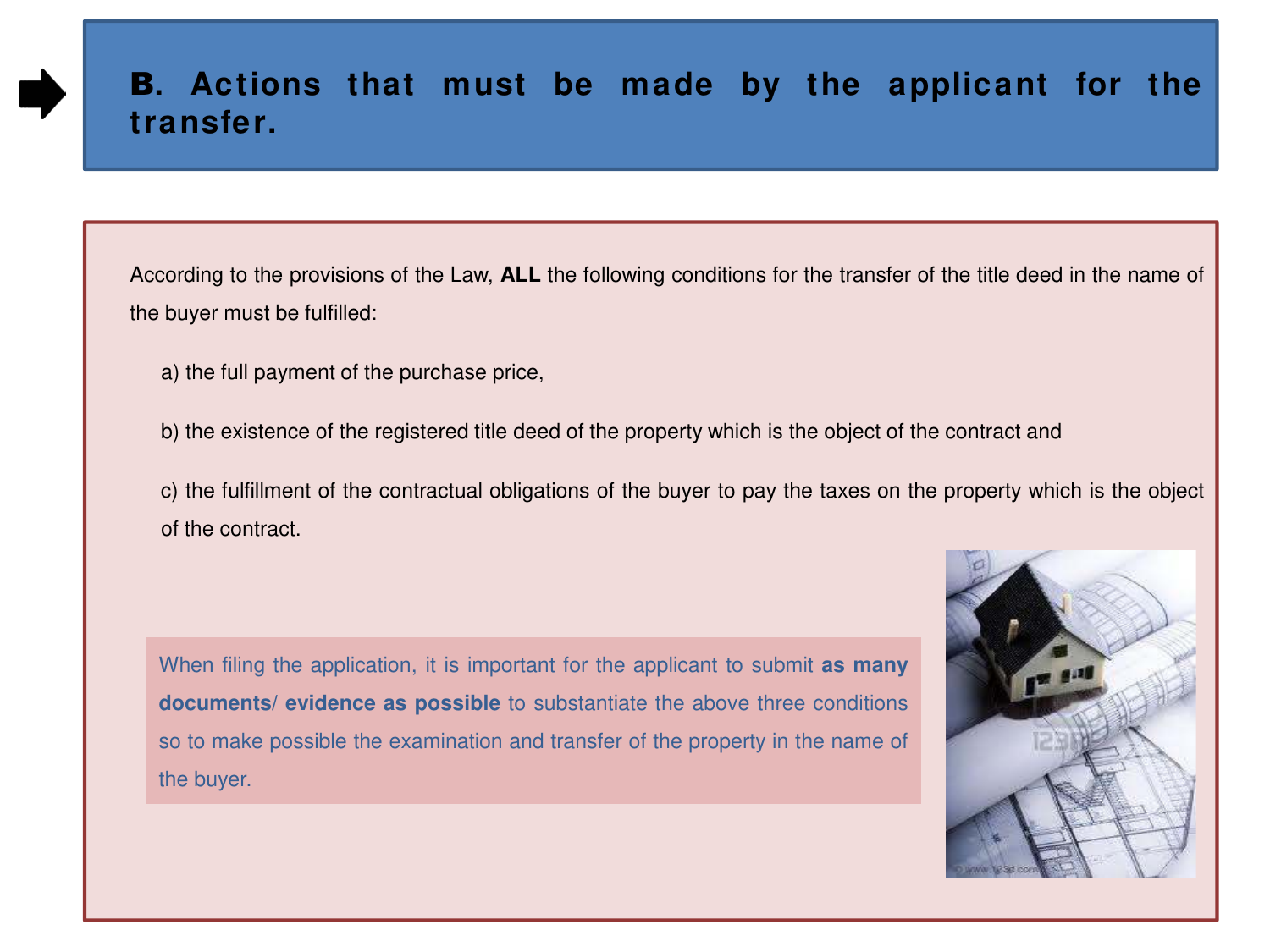According to the provisions of the Law, **ALL** the following conditions for the transfer of the title deed in the name of the buyer must be fulfilled:

- a) the full payment of the purchase price,
- b) the existence of the registered title deed of the property which is the object of the contract and
- c) the fulfillment of the contractual obligations of the buyer to pay the taxes on the property which is the object of the contract.

When filing the application, it is important for the applicant to submit **as many documents/ evidence as possible** to substantiate the above three conditions so to make possible the examination and transfer of the property in the name of the buyer.

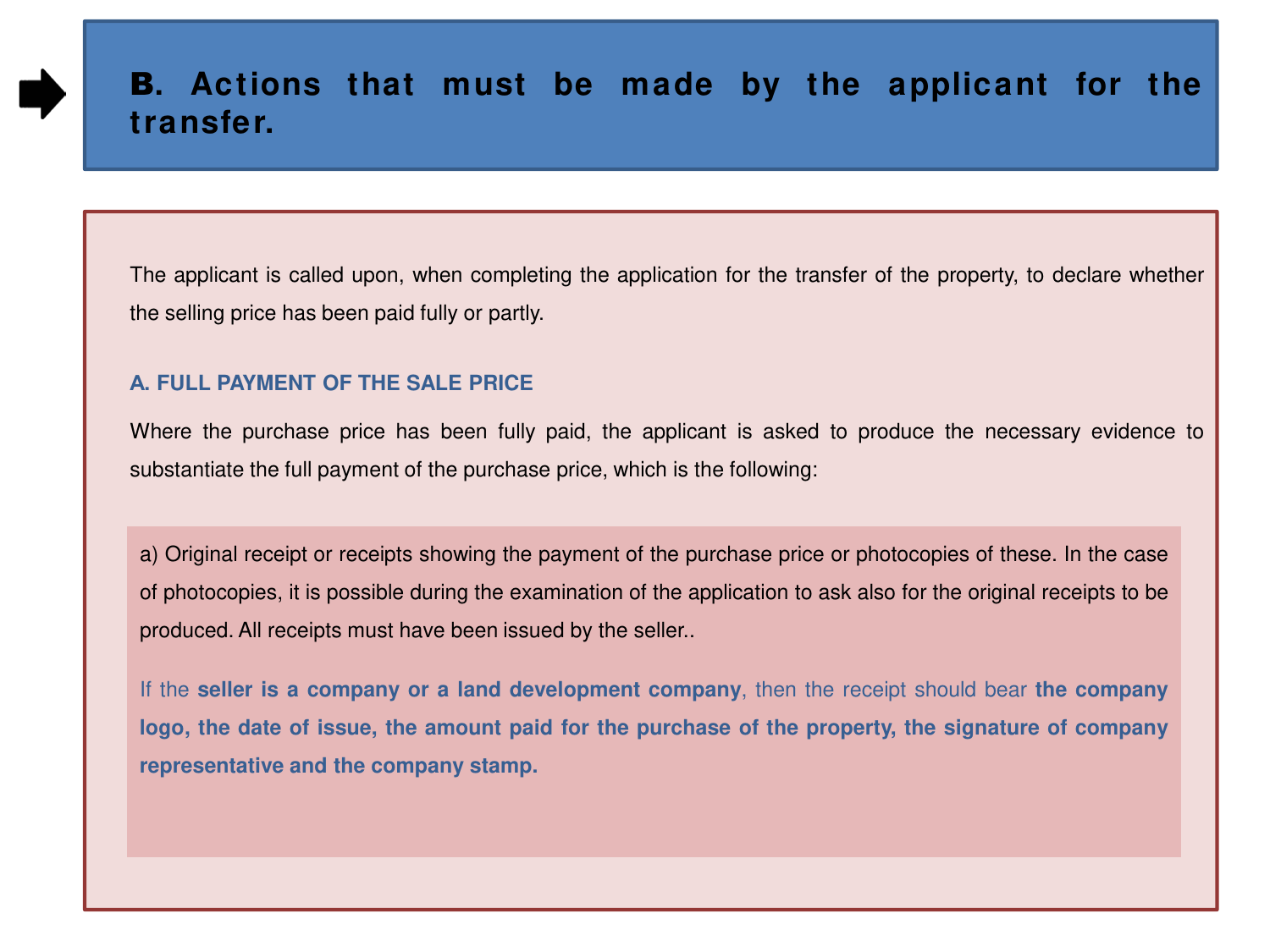The applicant is called upon, when completing the application for the transfer of the property, to declare whether the selling price has been paid fully or partly.

#### **Α. FULL PAYMENT OF THE SALE PRICE**

Where the purchase price has been fully paid, the applicant is asked to produce the necessary evidence to substantiate the full payment of the purchase price, which is the following:

a) Original receipt or receipts showing the payment of the purchase price or photocopies of these. In the case of photocopies, it is possible during the examination of the application to ask also for the original receipts to be produced. All receipts must have been issued by the seller..

If the **seller is a company or a land development company**, then the receipt should bear **the company** logo, the date of issue, the amount paid for the purchase of the property, the signature of company **representative and the company stamp.**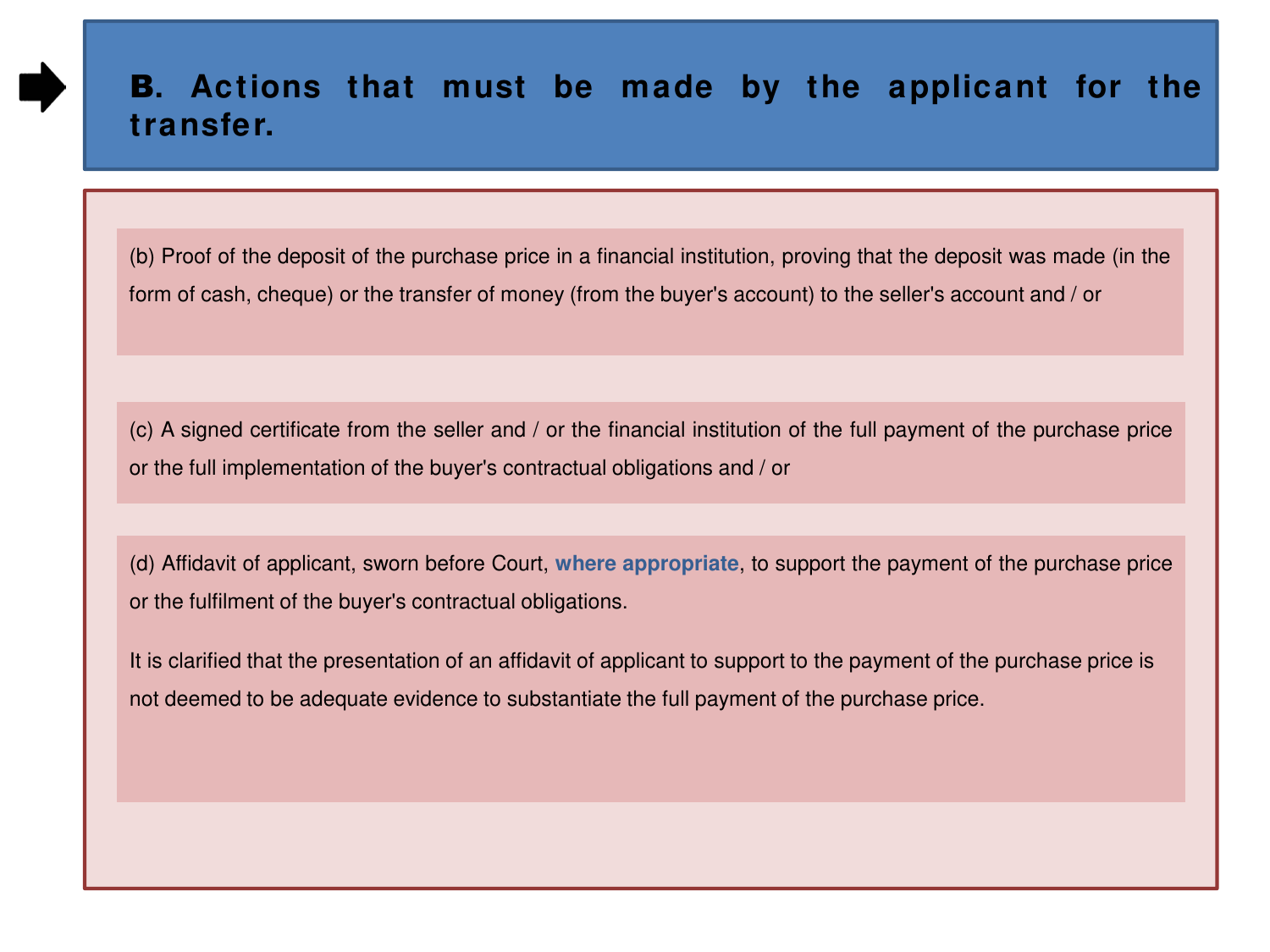(b) Proof of the deposit of the purchase price in a financial institution, proving that the deposit was made (in the form of cash, cheque) or the transfer of money (from the buyer's account) to the seller's account and / or

(c) A signed certificate from the seller and / or the financial institution of the full payment of the purchase price or the full implementation of the buyer's contractual obligations and / or

(d) Affidavit of applicant, sworn before Court, **where appropriate**, to support the payment of the purchase price or the fulfilment of the buyer's contractual obligations.

It is clarified that the presentation of an affidavit of applicant to support to the payment of the purchase price is not deemed to be adequate evidence to substantiate the full payment of the purchase price.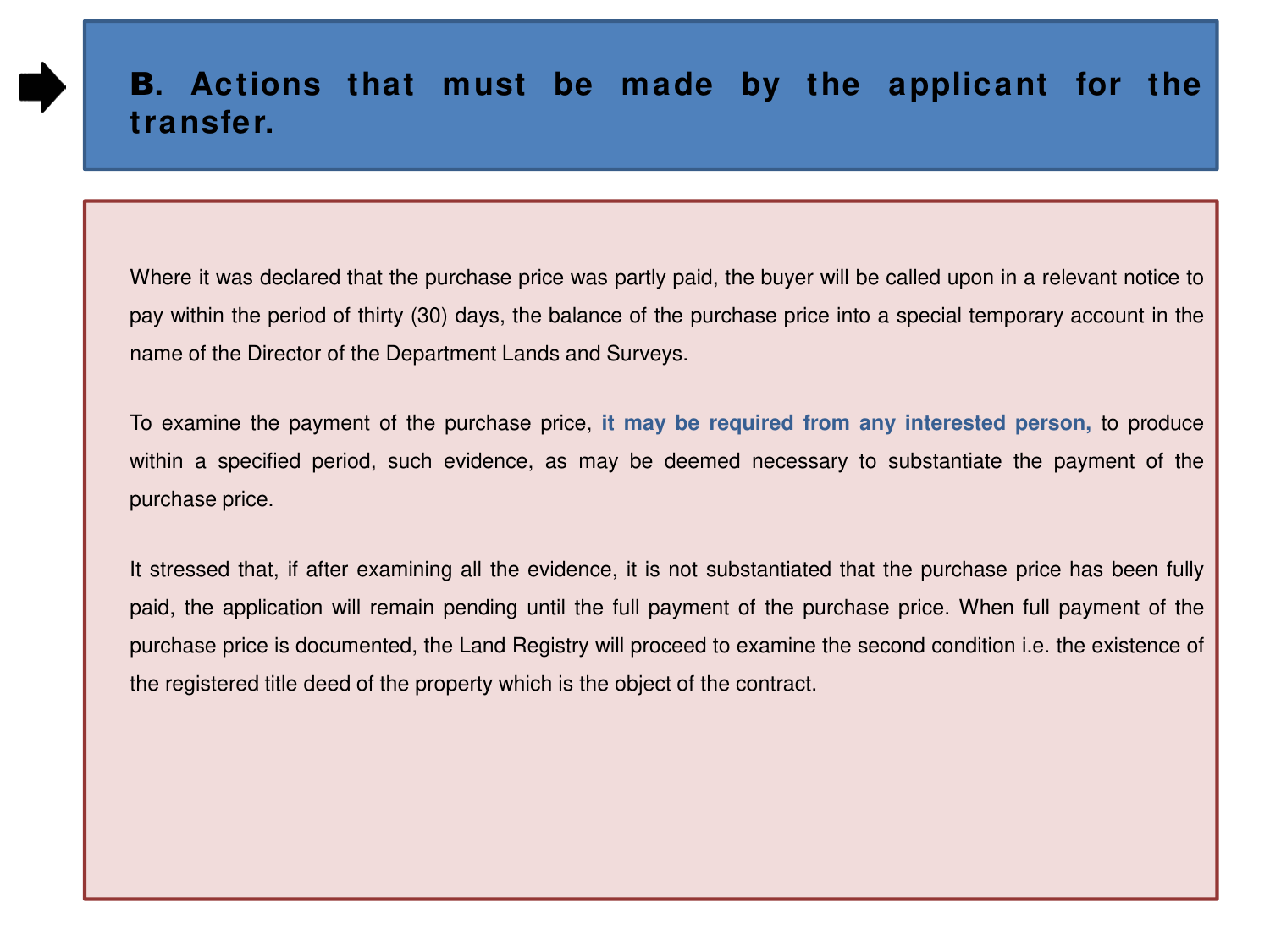Where it was declared that the purchase price was partly paid, the buyer will be called upon in a relevant notice to pay within the period of thirty (30) days, the balance of the purchase price into a special temporary account in the name of the Director of the Department Lands and Surveys.

To examine the payment of the purchase price, **it may be required from any interested person,** to produce within a specified period, such evidence, as may be deemed necessary to substantiate the payment of the purchase price.

It stressed that, if after examining all the evidence, it is not substantiated that the purchase price has been fully paid, the application will remain pending until the full payment of the purchase price. When full payment of the purchase price is documented, the Land Registry will proceed to examine the second condition i.e. the existence of the registered title deed of the property which is the object of the contract.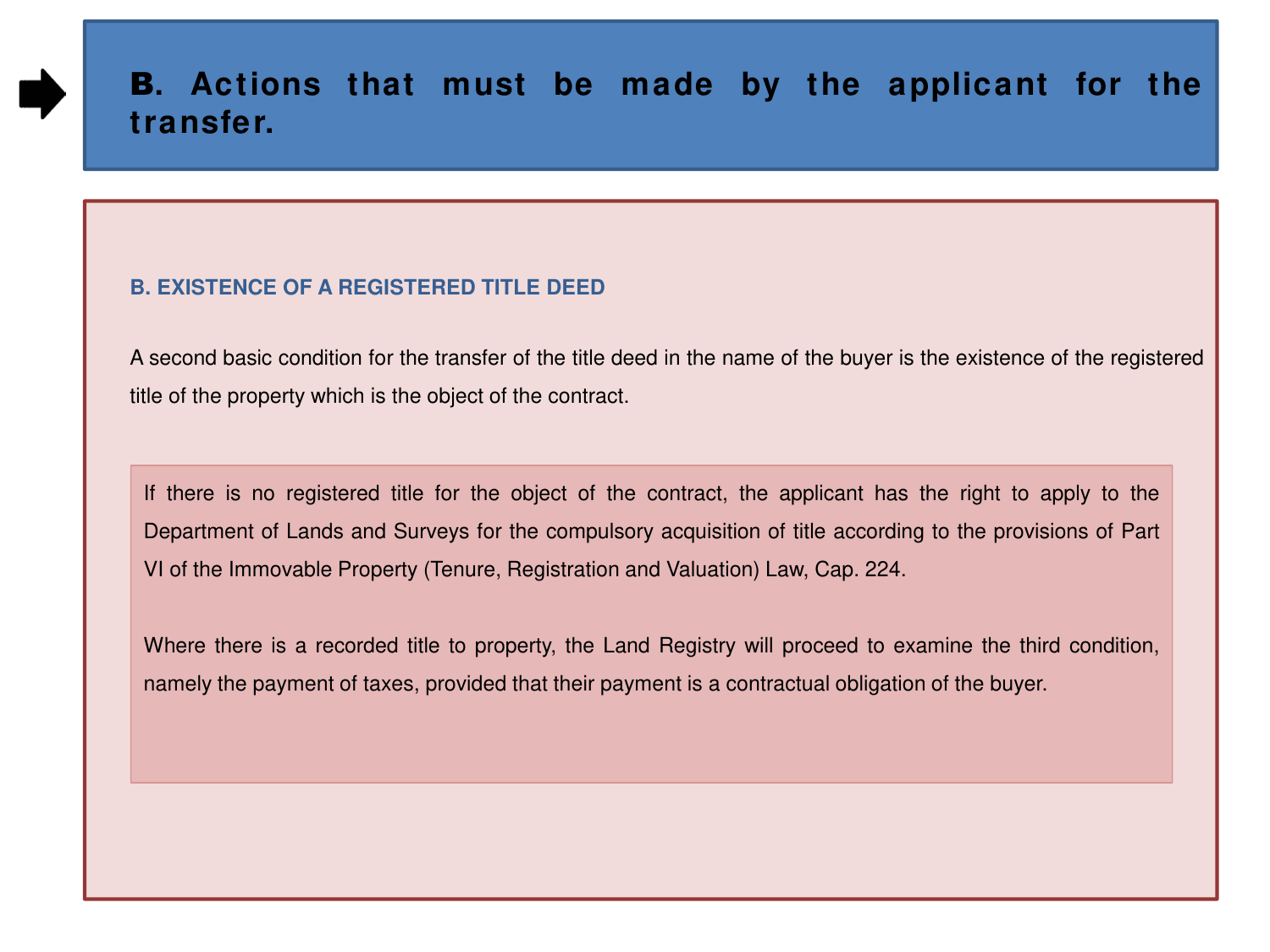#### **B. EXISTENCE OF A REGISTERED TITLE DEED**

A second basic condition for the transfer of the title deed in the name of the buyer is the existence of the registered title of the property which is the object of the contract.

If there is no registered title for the object of the contract, the applicant has the right to apply to the Department of Lands and Surveys for the compulsory acquisition of title according to the provisions of Part VI of the Immovable Property (Tenure, Registration and Valuation) Law, Cap. 224.

Where there is a recorded title to property, the Land Registry will proceed to examine the third condition, namely the payment of taxes, provided that their payment is a contractual obligation of the buyer.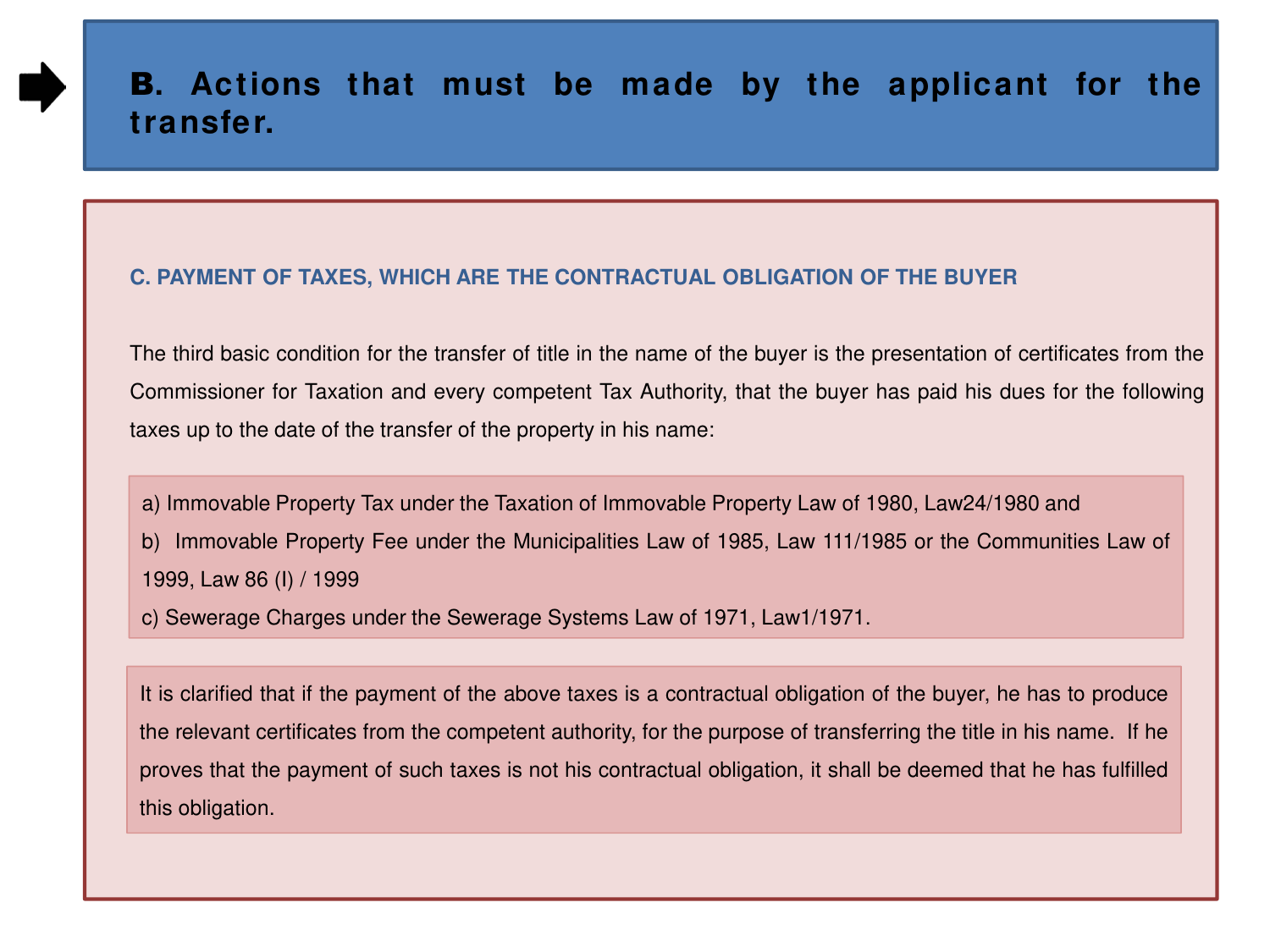#### **C. PAYMENT OF TAXES, WHICH ARE THE CONTRACTUAL OBLIGATION OF THE BUYER**

The third basic condition for the transfer of title in the name of the buyer is the presentation of certificates from the Commissioner for Taxation and every competent Tax Authority, that the buyer has paid his dues for the following taxes up to the date of the transfer of the property in his name:

a) Immovable Property Tax under the Taxation of Immovable Property Law of 1980, Law24/1980 and

b) Immovable Property Fee under the Municipalities Law of 1985, Law 111/1985 or the Communities Law of 1999, Law 86 (I) / 1999

c) Sewerage Charges under the Sewerage Systems Law of 1971, Law1/1971.

i

It is clarified that if the payment of the above taxes is a contractual obligation of the buyer, he has to produce the relevant certificates from the competent authority, for the purpose of transferring the title in his name. If he proves that the payment of such taxes is not his contractual obligation, it shall be deemed that he has fulfilled this obligation.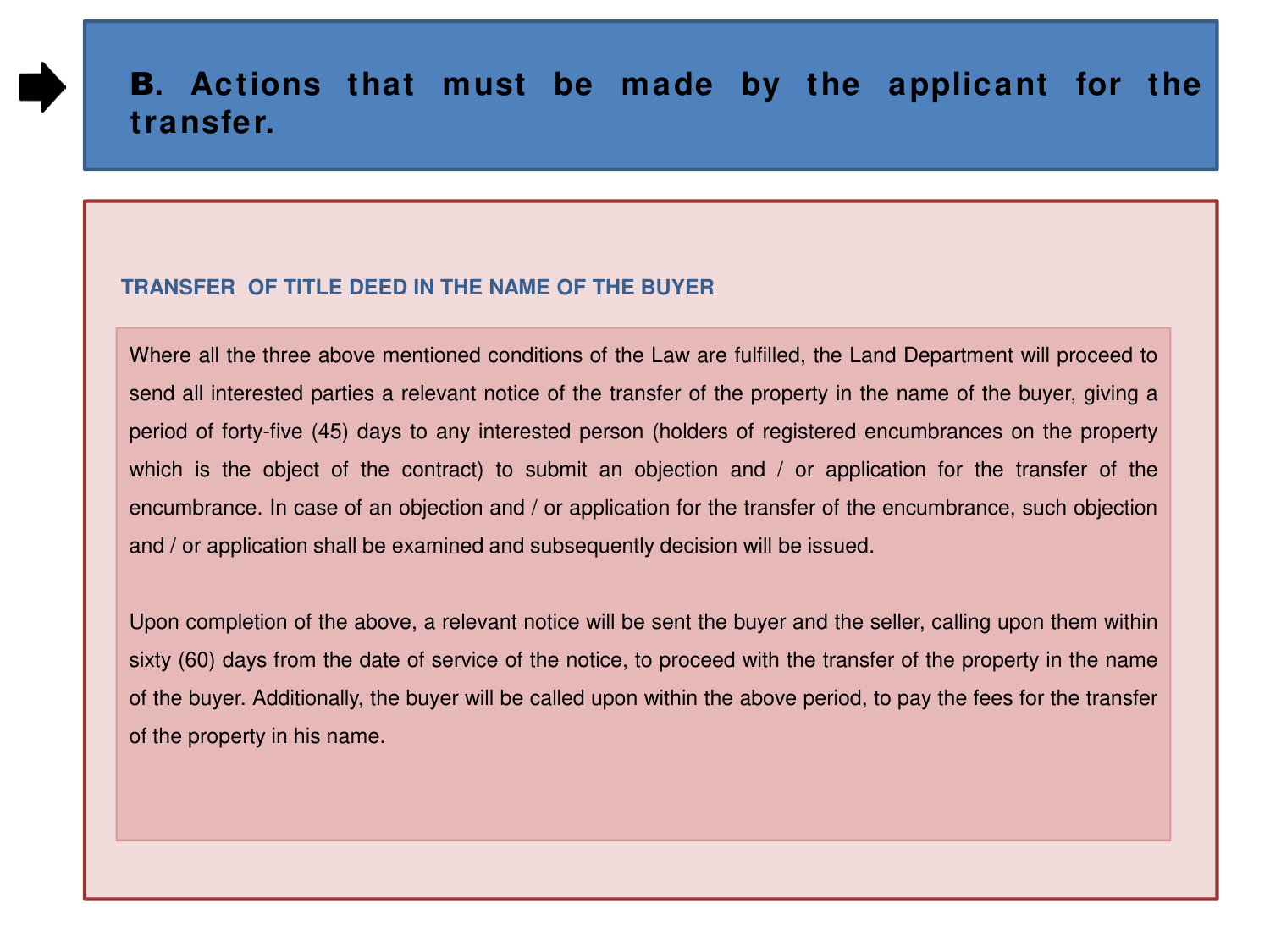#### **TRANSFER OF TITLE DEED IN THE NAME OF THE BUYER**

Where all the three above mentioned conditions of the Law are fulfilled, the Land Department will proceed to send all interested parties a relevant notice of the transfer of the property in the name of the buyer, giving a period of forty-five (45) days to any interested person (holders of registered encumbrances on the property which is the object of the contract) to submit an objection and / or application for the transfer of the encumbrance. In case of an objection and / or application for the transfer of the encumbrance, such objection and / or application shall be examined and subsequently decision will be issued.

Upon completion of the above, a relevant notice will be sent the buyer and the seller, calling upon them within sixty (60) days from the date of service of the notice, to proceed with the transfer of the property in the name of the buyer. Additionally, the buyer will be called upon within the above period, to pay the fees for the transfer of the property in his name.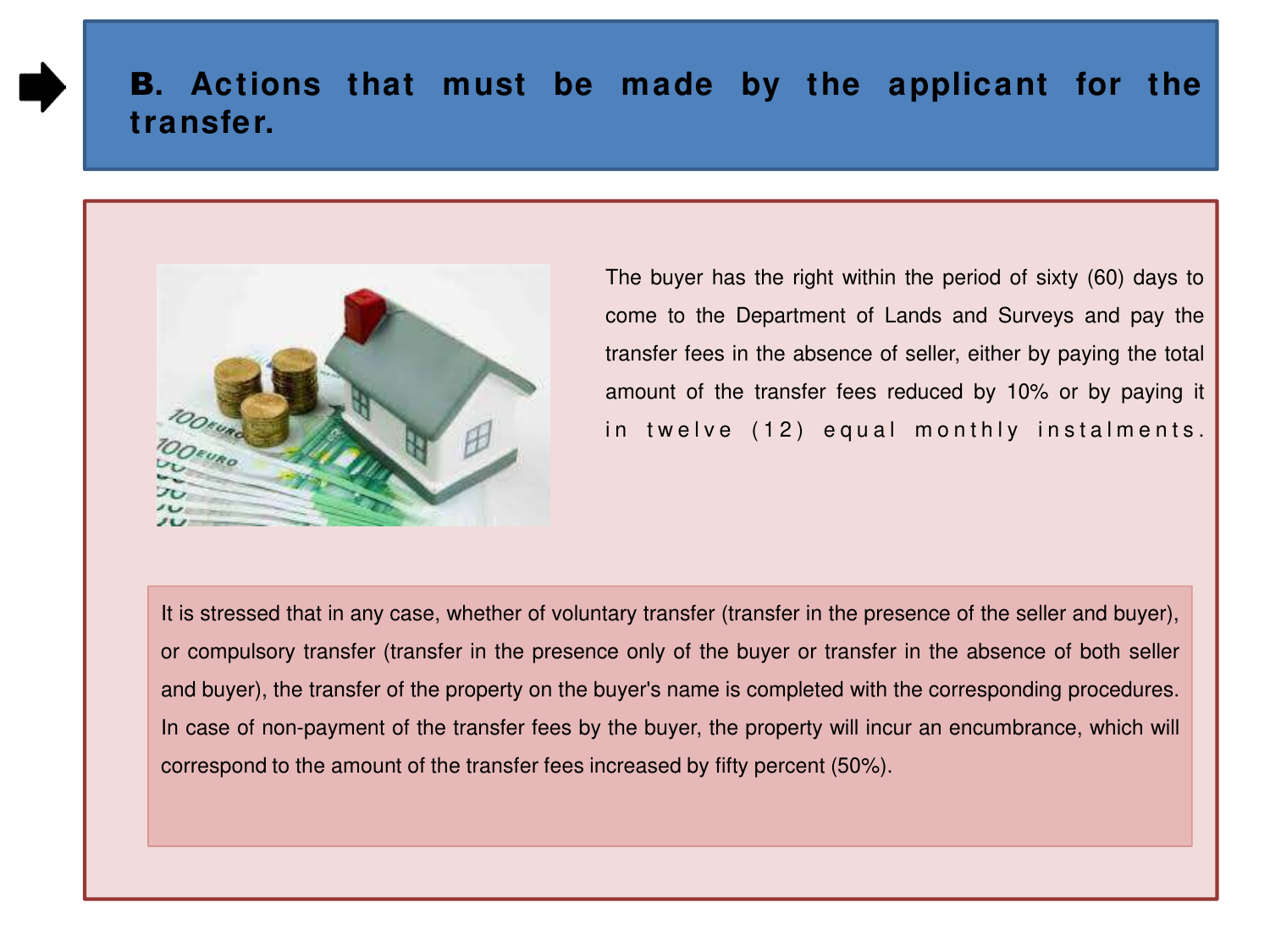

 The buyer has the right within the period of sixty (60) days to come to the Department of Lands and Surveys and pay the transfer fees in the absence of seller, either by paying the total amount of the transfer fees reduced by 10% or by paying it in twelve (12) equal monthly instalments.

It is stressed that in any case, whether of voluntary transfer (transfer in the presence of the seller and buyer), or compulsory transfer (transfer in the presence only of the buyer or transfer in the absence of both seller and buyer), the transfer of the property on the buyer's name is completed with the corresponding procedures. In case of non-payment of the transfer fees by the buyer, the property will incur an encumbrance, which will correspond to the amount of the transfer fees increased by fifty percent (50%).